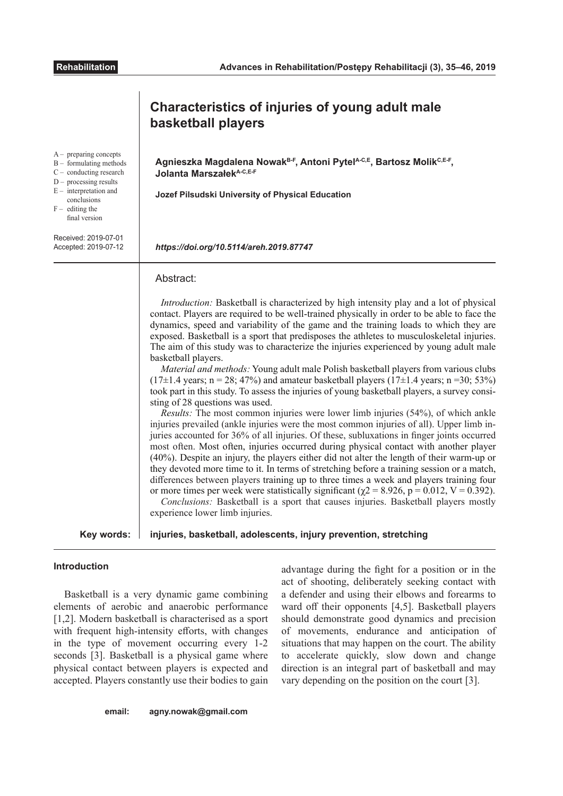|                                                                                                                                                                                                | Characteristics of injuries of young adult male<br>basketball players                                                                                                                                                                                                                                                                                                                                                                                                                                                                                                                                                                                                                                                                                                                                                                                                                                                                                                                                                                                                                                                                                                                                                                                                                                                                                                                                                                                                                                                                                                                                                                                                                                                                                          |
|------------------------------------------------------------------------------------------------------------------------------------------------------------------------------------------------|----------------------------------------------------------------------------------------------------------------------------------------------------------------------------------------------------------------------------------------------------------------------------------------------------------------------------------------------------------------------------------------------------------------------------------------------------------------------------------------------------------------------------------------------------------------------------------------------------------------------------------------------------------------------------------------------------------------------------------------------------------------------------------------------------------------------------------------------------------------------------------------------------------------------------------------------------------------------------------------------------------------------------------------------------------------------------------------------------------------------------------------------------------------------------------------------------------------------------------------------------------------------------------------------------------------------------------------------------------------------------------------------------------------------------------------------------------------------------------------------------------------------------------------------------------------------------------------------------------------------------------------------------------------------------------------------------------------------------------------------------------------|
| $A-$ preparing concepts<br>$B -$ formulating methods<br>$C$ – conducting research<br>$D -$ processing results<br>$E$ – interpretation and<br>conclusions<br>$F -$ editing the<br>final version | Agnieszka Magdalena Nowak <sup>B-F</sup> , Antoni Pytel <sup>A-C,E</sup> , Bartosz Molik <sup>C,E-F</sup> ,<br><b>Jolanta Marszałek A-C, E-F</b><br>Jozef Pilsudski University of Physical Education                                                                                                                                                                                                                                                                                                                                                                                                                                                                                                                                                                                                                                                                                                                                                                                                                                                                                                                                                                                                                                                                                                                                                                                                                                                                                                                                                                                                                                                                                                                                                           |
| Received: 2019-07-01<br>Accepted: 2019-07-12                                                                                                                                                   | https://doi.org/10.5114/areh.2019.87747                                                                                                                                                                                                                                                                                                                                                                                                                                                                                                                                                                                                                                                                                                                                                                                                                                                                                                                                                                                                                                                                                                                                                                                                                                                                                                                                                                                                                                                                                                                                                                                                                                                                                                                        |
|                                                                                                                                                                                                | Abstract:<br><i>Introduction:</i> Basketball is characterized by high intensity play and a lot of physical<br>contact. Players are required to be well-trained physically in order to be able to face the<br>dynamics, speed and variability of the game and the training loads to which they are<br>exposed. Basketball is a sport that predisposes the athletes to musculoskeletal injuries.<br>The aim of this study was to characterize the injuries experienced by young adult male<br>basketball players.<br>Material and methods: Young adult male Polish basketball players from various clubs<br>$(17\pm1.4 \text{ years}; n = 28; 47\%)$ and amateur basketball players $(17\pm1.4 \text{ years}; n = 30; 53\%)$<br>took part in this study. To assess the injuries of young basketball players, a survey consi-<br>sting of 28 questions was used.<br><i>Results:</i> The most common injuries were lower limb injuries (54%), of which ankle<br>injuries prevailed (ankle injuries were the most common injuries of all). Upper limb in-<br>juries accounted for 36% of all injuries. Of these, subluxations in finger joints occurred<br>most often. Most often, injuries occurred during physical contact with another player<br>(40%). Despite an injury, the players either did not alter the length of their warm-up or<br>they devoted more time to it. In terms of stretching before a training session or a match,<br>differences between players training up to three times a week and players training four<br>or more times per week were statistically significant ( $\chi$ 2 = 8.926, p = 0.012, V = 0.392).<br>Conclusions: Basketball is a sport that causes injuries. Basketball players mostly<br>experience lower limb injuries. |
| Key words:                                                                                                                                                                                     | injuries, basketball, adolescents, injury prevention, stretching                                                                                                                                                                                                                                                                                                                                                                                                                                                                                                                                                                                                                                                                                                                                                                                                                                                                                                                                                                                                                                                                                                                                                                                                                                                                                                                                                                                                                                                                                                                                                                                                                                                                                               |

# **Introduction**

Basketball is a very dynamic game combining elements of aerobic and anaerobic performance [1,2]. Modern basketball is characterised as a sport with frequent high-intensity efforts, with changes in the type of movement occurring every 1-2 seconds [3]. Basketball is a physical game where physical contact between players is expected and accepted. Players constantly use their bodies to gain advantage during the fight for a position or in the act of shooting, deliberately seeking contact with a defender and using their elbows and forearms to ward off their opponents [4,5]. Basketball players should demonstrate good dynamics and precision of movements, endurance and anticipation of situations that may happen on the court. The ability to accelerate quickly, slow down and change direction is an integral part of basketball and may vary depending on the position on the court [3].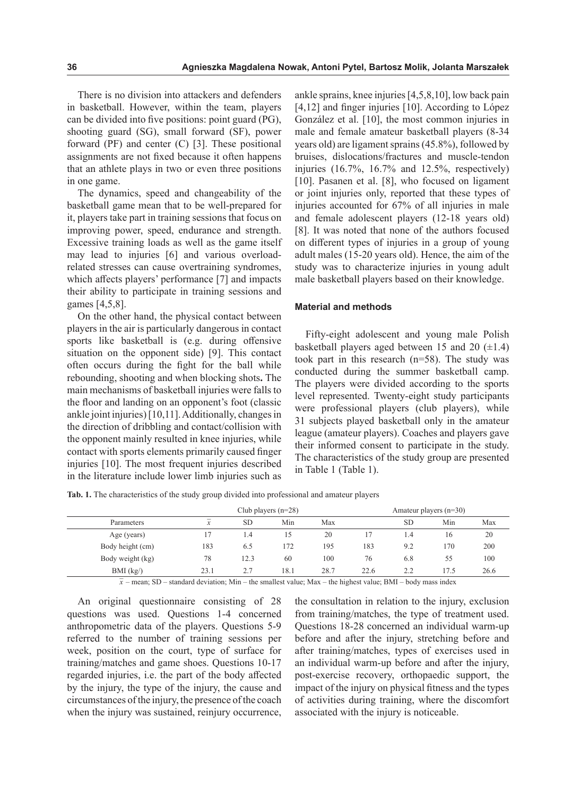There is no division into attackers and defenders in basketball. However, within the team, players can be divided into five positions: point guard (PG), shooting guard (SG), small forward (SF), power forward (PF) and center (C) [3]. These positional assignments are not fixed because it often happens that an athlete plays in two or even three positions in one game.

The dynamics, speed and changeability of the basketball game mean that to be well-prepared for it, players take part in training sessions that focus on improving power, speed, endurance and strength. Excessive training loads as well as the game itself may lead to injuries [6] and various overloadrelated stresses can cause overtraining syndromes, which affects players' performance [7] and impacts their ability to participate in training sessions and games [4,5,8].

On the other hand, the physical contact between players in the air is particularly dangerous in contact sports like basketball is (e.g. during offensive situation on the opponent side) [9]. This contact often occurs during the fight for the ball while rebounding, shooting and when blocking shots**.** The main mechanisms of basketball injuries were falls to the floor and landing on an opponent's foot (classic ankle joint injuries) [10,11]. Additionally, changes in the direction of dribbling and contact/collision with the opponent mainly resulted in knee injuries, while contact with sports elements primarily caused finger injuries [10]. The most frequent injuries described in the literature include lower limb injuries such as

ankle sprains, knee injuries [4,5,8,10], low back pain [4,12] and finger injuries [10]. According to López González et al. [10], the most common injuries in male and female amateur basketball players (8-34 years old) are ligament sprains (45.8%), followed by bruises, dislocations/fractures and muscle-tendon injuries (16.7%, 16.7% and 12.5%, respectively) [10]. Pasanen et al. [8], who focused on ligament or joint injuries only, reported that these types of injuries accounted for 67% of all injuries in male and female adolescent players (12-18 years old) [8]. It was noted that none of the authors focused on different types of injuries in a group of young adult males (15-20 years old). Hence, the aim of the study was to characterize injuries in young adult male basketball players based on their knowledge.

#### **Material and methods**

Fifty-eight adolescent and young male Polish basketball players aged between 15 and 20  $(\pm 1.4)$ took part in this research (n=58). The study was conducted during the summer basketball camp. The players were divided according to the sports level represented. Twenty-eight study participants were professional players (club players), while 31 subjects played basketball only in the amateur league (amateur players). Coaches and players gave their informed consent to participate in the study. The characteristics of the study group are presented in Table 1 (Table 1).

**Tab. 1.** The characteristics of the study group divided into professional and amateur players

|                  | Club players $(n=28)$ |           |      |      |      |           | Amateur players $(n=30)$ |      |
|------------------|-----------------------|-----------|------|------|------|-----------|--------------------------|------|
| Parameters       | $\mathbf{v}$<br>л     | <b>SD</b> | Min  | Max  |      | <b>SD</b> | Min                      | Max  |
| Age (years)      |                       | 1.4       | 15   | 20   |      | 1.4       | 16                       | 20   |
| Body height (cm) | 183                   | 6.5       | 172  | 195  | 183  | 9.2       | 170                      | 200  |
| Body weight (kg) | 78                    | 12.3      | 60   | 100  | 76   | 6.8       | 55                       | 100  |
| BMI (kg)         | 23.1                  | 2.7       | 18.1 | 28.7 | 22.6 | 2.2       | 17.5                     | 26.6 |

 $\overline{x}$  – mean; SD – standard deviation; Min – the smallest value; Max – the highest value; BMI – body mass index

An original questionnaire consisting of 28 questions was used. Questions 1-4 concerned anthropometric data of the players. Questions 5-9 referred to the number of training sessions per week, position on the court, type of surface for training/matches and game shoes. Questions 10-17 regarded injuries, i.e. the part of the body affected by the injury, the type of the injury, the cause and circumstances of the injury, the presence of the coach when the injury was sustained, reinjury occurrence, the consultation in relation to the injury, exclusion from training/matches, the type of treatment used. Questions 18-28 concerned an individual warm-up before and after the injury, stretching before and after training/matches, types of exercises used in an individual warm-up before and after the injury, post-exercise recovery, orthopaedic support, the impact of the injury on physical fitness and the types of activities during training, where the discomfort associated with the injury is noticeable.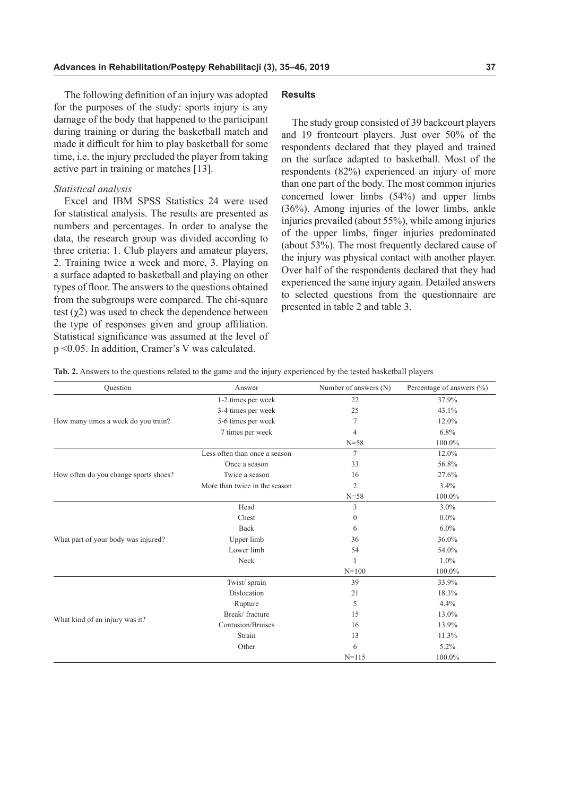The following definition of an injury was adopted for the purposes of the study: sports injury is any damage of the body that happened to the participant during training or during the basketball match and made it difficult for him to play basketball for some time, i.e. the injury precluded the player from taking active part in training or matches [13].

### *Statistical analysis*

Excel and IBM SPSS Statistics 24 were used for statistical analysis. The results are presented as numbers and percentages. In order to analyse the data, the research group was divided according to three criteria: 1. Club players and amateur players, 2. Training twice a week and more, 3. Playing on a surface adapted to basketball and playing on other types of floor. The answers to the questions obtained from the subgroups were compared. The chi-square test  $(\chi^2)$  was used to check the dependence between the type of responses given and group affiliation. Statistical significance was assumed at the level of p <0.05. In addition, Cramer's V was calculated.

### **Results**

The study group consisted of 39 backcourt players and 19 frontcourt players. Just over 50% of the respondents declared that they played and trained on the surface adapted to basketball. Most of the respondents (82%) experienced an injury of more than one part of the body. The most common injuries concerned lower limbs (54%) and upper limbs (36%). Among injuries of the lower limbs, ankle injuries prevailed (about 55%), while among injuries of the upper limbs, finger injuries predominated (about 53%). The most frequently declared cause of the injury was physical contact with another player. Over half of the respondents declared that they had experienced the same injury again. Detailed answers to selected questions from the questionnaire are presented in table 2 and table 3.

| Ouestion                              | Answer                        | Number of answers (N) | Percentage of answers (%) |
|---------------------------------------|-------------------------------|-----------------------|---------------------------|
|                                       | 1-2 times per week            | 22                    | 37.9%                     |
|                                       | 3-4 times per week            | 25                    | 43.1%                     |
| How many times a week do you train?   | 5-6 times per week            | 7                     | 12.0%                     |
|                                       | 7 times per week              | 4                     | 6.8%                      |
|                                       |                               | $N = 58$              | 100.0%                    |
|                                       | Less often than once a season | 7                     | 12.0%                     |
|                                       | Once a season                 | 33                    | 56.8%                     |
| How often do you change sports shoes? | Twice a season                | 16                    | 27.6%                     |
|                                       | More than twice in the season | $\overline{2}$        | 3.4%                      |
|                                       |                               | $N = 58$              | 100.0%                    |
|                                       | Head                          | 3                     | $3.0\%$                   |
|                                       | Chest                         | $\mathbf{0}$          | $0.0\%$                   |
|                                       | Back                          | 6                     | $6.0\%$                   |
| What part of your body was injured?   | Upper limb                    | 36                    | 36.0%                     |
|                                       | Lower limb                    | 54                    | 54.0%                     |
|                                       | Neck                          |                       | 1.0%                      |
|                                       |                               | $N=100$               | 100.0%                    |
|                                       | Twist/sprain                  | 39                    | 33.9%                     |
|                                       | Dislocation                   | 21                    | 18.3%                     |
|                                       | Rupture                       | 5                     | 4.4%                      |
|                                       | Break/fracture                | 15                    | 13.0%                     |
| What kind of an injury was it?        | Contusion/Bruises             | 16                    | 13.9%                     |
|                                       | Strain                        | 13                    | 11.3%                     |
|                                       | Other                         | 6                     | 5.2%                      |
|                                       |                               | $N = 115$             | 100.0%                    |

**Tab. 2.** Answers to the questions related to the game and the injury experienced by the tested basketball players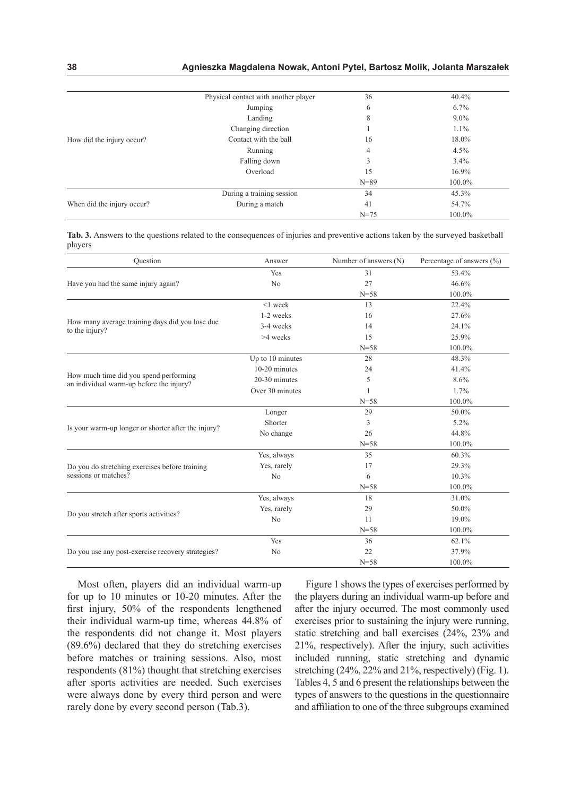### **38 Agnieszka Magdalena Nowak, Antoni Pytel, Bartosz Molik, Jolanta Marszałek**

|                            | Physical contact with another player | 36       | 40.4%   |
|----------------------------|--------------------------------------|----------|---------|
|                            | Jumping                              | 6        | $6.7\%$ |
|                            | Landing                              | 8        | $9.0\%$ |
|                            | Changing direction                   |          | $1.1\%$ |
| How did the injury occur?  | Contact with the ball                | 16       | 18.0%   |
|                            | Running                              | 4        | 4.5%    |
|                            | Falling down                         | 3        | 3.4%    |
|                            | Overload                             | 15       | 16.9%   |
|                            |                                      | $N = 89$ | 100.0%  |
|                            | During a training session            | 34       | 45.3%   |
| When did the injury occur? | During a match                       | 41       | 54.7%   |
|                            |                                      | $N = 75$ | 100.0%  |

**Tab. 3.** Answers to the questions related to the consequences of injuries and preventive actions taken by the surveyed basketball players

| Ouestion                                                                           | Answer           | Number of answers (N) | Percentage of answers $(\% )$ |
|------------------------------------------------------------------------------------|------------------|-----------------------|-------------------------------|
|                                                                                    | Yes              | 31                    | 53.4%                         |
| Have you had the same injury again?                                                | N <sub>o</sub>   | 27                    | 46.6%                         |
|                                                                                    |                  | $N = 58$              | 100.0%                        |
|                                                                                    | $<$ 1 week       | 13                    | 22.4%                         |
|                                                                                    | 1-2 weeks        | 16                    | 27.6%                         |
| How many average training days did you lose due<br>to the injury?                  | 3-4 weeks        | 14                    | 24.1%                         |
|                                                                                    | >4 weeks         | 15                    | 25.9%                         |
|                                                                                    |                  | $N = 58$              | 100.0%                        |
|                                                                                    | Up to 10 minutes | 28                    | 48.3%                         |
|                                                                                    | $10-20$ minutes  | 24                    | 41.4%                         |
| How much time did you spend performing<br>an individual warm-up before the injury? | $20-30$ minutes  | 5                     | 8.6%                          |
|                                                                                    | Over 30 minutes  |                       | 1.7%                          |
|                                                                                    |                  | $N = 58$              | 100.0%                        |
|                                                                                    | Longer           | 29                    | 50.0%                         |
| Is your warm-up longer or shorter after the injury?                                | Shorter          | 3                     | 5.2%                          |
|                                                                                    | No change        | 26                    | 44.8%                         |
|                                                                                    |                  | $N = 58$              | 100.0%                        |
|                                                                                    | Yes, always      | 35                    | 60.3%                         |
| Do you do stretching exercises before training                                     | Yes, rarely      | 17                    | 29.3%                         |
| sessions or matches?                                                               | No               | 6                     | 10.3%                         |
|                                                                                    |                  | $N = 58$              | 100.0%                        |
|                                                                                    | Yes, always      | 18                    | 31.0%                         |
| Do you stretch after sports activities?                                            | Yes, rarely      | 29                    | 50.0%                         |
|                                                                                    | No               | 11                    | 19.0%                         |
|                                                                                    |                  | $N = 58$              | 100.0%                        |
|                                                                                    | Yes              | 36                    | 62.1%                         |
| Do you use any post-exercise recovery strategies?                                  | N <sub>o</sub>   | 22                    | 37.9%                         |
|                                                                                    |                  | $N = 58$              | 100.0%                        |

Most often, players did an individual warm-up for up to 10 minutes or 10-20 minutes. After the first injury, 50% of the respondents lengthened their individual warm-up time, whereas 44.8% of the respondents did not change it. Most players (89.6%) declared that they do stretching exercises before matches or training sessions. Also, most respondents (81%) thought that stretching exercises after sports activities are needed. Such exercises were always done by every third person and were rarely done by every second person (Tab.3).

Figure 1 shows the types of exercises performed by the players during an individual warm-up before and after the injury occurred. The most commonly used exercises prior to sustaining the injury were running, static stretching and ball exercises (24%, 23% and 21%, respectively). After the injury, such activities included running, static stretching and dynamic stretching (24%, 22% and 21%, respectively) (Fig. 1). Tables 4, 5 and 6 present the relationships between the types of answers to the questions in the questionnaire and affiliation to one of the three subgroups examined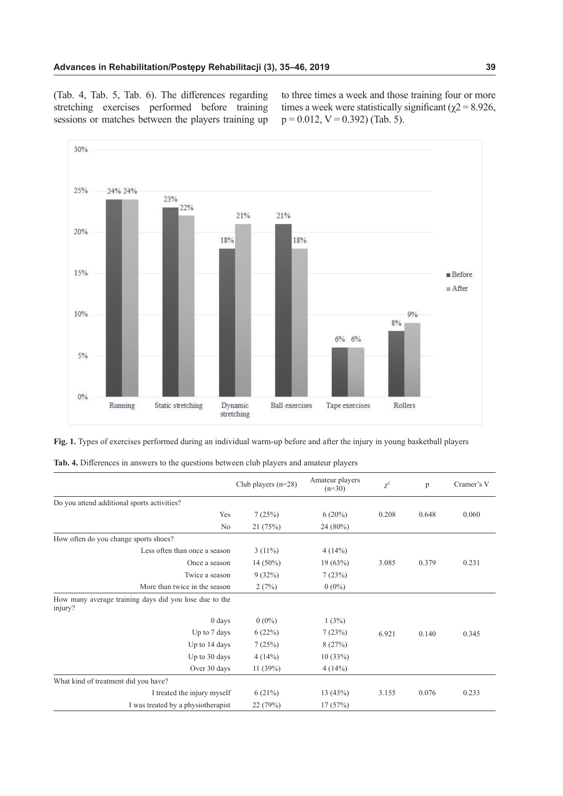(Tab. 4, Tab. 5, Tab. 6). The differences regarding stretching exercises performed before training sessions or matches between the players training up

to three times a week and those training four or more times a week were statistically significant ( $\chi$ 2 = 8.926,  $p = 0.012$ ,  $V = 0.392$ ) (Tab. 5).



**Fig. 1.** Types of exercises performed during an individual warm-up before and after the injury in young basketball players

|  | <b>Tab. 4.</b> Differences in answers to the questions between club players and amateur players |  |  |  |  |
|--|-------------------------------------------------------------------------------------------------|--|--|--|--|
|  |                                                                                                 |  |  |  |  |

|                                                                   | Club players $(n=28)$ | Amateur players<br>$(n=30)$ | $\chi^2$ | p     | Cramer's V |
|-------------------------------------------------------------------|-----------------------|-----------------------------|----------|-------|------------|
| Do you attend additional sports activities?                       |                       |                             |          |       |            |
| Yes                                                               | 7(25%)                | $6(20\%)$                   | 0.208    | 0.648 | 0.060      |
| No                                                                | 21(75%)               | 24 (80%)                    |          |       |            |
| How often do you change sports shoes?                             |                       |                             |          |       |            |
| Less often than once a season                                     | $3(11\%)$             | 4(14%)                      |          |       |            |
| Once a season                                                     | $14(50\%)$            | 19(63%)                     | 3.085    | 0.379 | 0.231      |
| Twice a season                                                    | 9(32%)                | 7(23%)                      |          |       |            |
| More than twice in the season                                     | 2(7%)                 | $0(0\%)$                    |          |       |            |
| How many average training days did you lose due to the<br>injury? |                       |                             |          |       |            |
| $0$ days                                                          | $0(0\%)$              | 1(3%)                       |          |       |            |
| Up to 7 days                                                      | 6(22%)                | 7(23%)                      | 6.921    | 0.140 | 0.345      |
| Up to 14 days                                                     | 7(25%)                | 8(27%)                      |          |       |            |
| Up to 30 days                                                     | 4(14%)                | 10(33%)                     |          |       |            |
| Over 30 days                                                      | 11(39%)               | 4(14%)                      |          |       |            |
| What kind of treatment did you have?                              |                       |                             |          |       |            |
| I treated the injury myself                                       | 6(21%)                | 13(43%)                     | 3.155    | 0.076 | 0.233      |
| I was treated by a physiotherapist                                | 22 (79%)              | 17(57%)                     |          |       |            |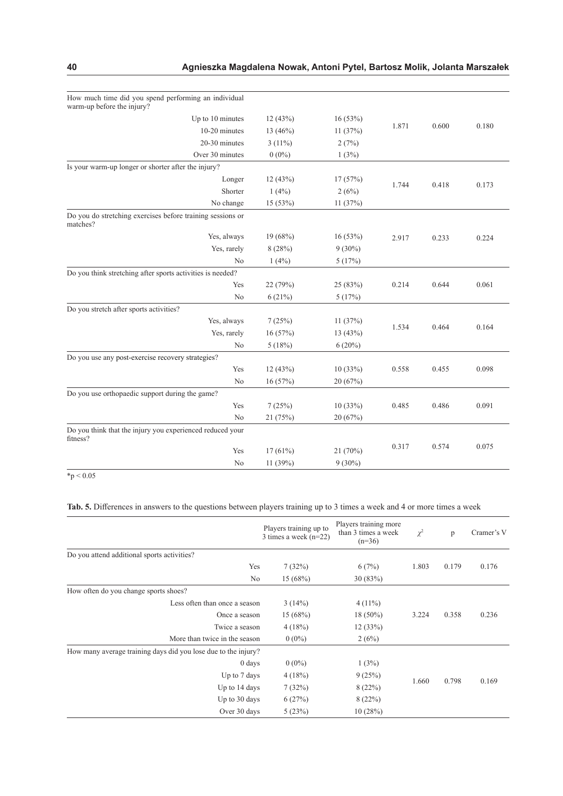| How much time did you spend performing an individual<br>warm-up before the injury? |           |           |       |       |       |
|------------------------------------------------------------------------------------|-----------|-----------|-------|-------|-------|
| Up to 10 minutes                                                                   | 12(43%)   | 16(53%)   |       |       |       |
| 10-20 minutes                                                                      | 13 (46%)  | 11 (37%)  | 1.871 | 0.600 | 0.180 |
| 20-30 minutes                                                                      | $3(11\%)$ | 2(7%)     |       |       |       |
| Over 30 minutes                                                                    | $0(0\%)$  | 1(3%)     |       |       |       |
| Is your warm-up longer or shorter after the injury?                                |           |           |       |       |       |
| Longer                                                                             | 12(43%)   | 17(57%)   |       |       |       |
| Shorter                                                                            | 1(4%)     | 2(6%)     | 1.744 | 0.418 | 0.173 |
| No change                                                                          | 15 (53%)  | 11(37%)   |       |       |       |
| Do you do stretching exercises before training sessions or<br>matches?             |           |           |       |       |       |
| Yes, always                                                                        | 19 (68%)  | 16(53%)   | 2.917 | 0.233 | 0.224 |
| Yes, rarely                                                                        | 8(28%)    | $9(30\%)$ |       |       |       |
| No                                                                                 | 1(4%)     | 5(17%)    |       |       |       |
| Do you think stretching after sports activities is needed?                         |           |           |       |       |       |
| Yes                                                                                | 22 (79%)  | 25 (83%)  | 0.214 | 0.644 | 0.061 |
| No                                                                                 | 6(21%)    | 5(17%)    |       |       |       |
| Do you stretch after sports activities?                                            |           |           |       |       |       |
| Yes, always                                                                        | 7(25%)    | 11(37%)   | 1.534 | 0.464 | 0.164 |
| Yes, rarely                                                                        | 16 (57%)  | 13(43%)   |       |       |       |
| No                                                                                 | 5(18%)    | 6(20%)    |       |       |       |
| Do you use any post-exercise recovery strategies?                                  |           |           |       |       |       |
| Yes                                                                                | 12 (43%)  | 10(33%)   | 0.558 | 0.455 | 0.098 |
| No                                                                                 | 16 (57%)  | 20(67%)   |       |       |       |
| Do you use orthopaedic support during the game?                                    |           |           |       |       |       |
| Yes                                                                                | 7(25%)    | 10(33%)   | 0.485 | 0.486 | 0.091 |
| N <sub>o</sub>                                                                     | 21 (75%)  | 20 (67%)  |       |       |       |
| Do you think that the injury you experienced reduced your<br>fitness?              |           |           |       |       |       |
| Yes                                                                                | 17(61%)   | 21 (70%)  | 0.317 | 0.574 | 0.075 |
| No                                                                                 | 11 (39%)  | $9(30\%)$ |       |       |       |

 $*$ p < 0.05

# **Tab. 5.** Differences in answers to the questions between players training up to 3 times a week and 4 or more times a week

|                                                                | Players training up to<br>3 times a week $(n=22)$ | Players training more<br>than 3 times a week<br>$(n=36)$ | $\chi^2$       | p     | Cramer's V |
|----------------------------------------------------------------|---------------------------------------------------|----------------------------------------------------------|----------------|-------|------------|
| Do you attend additional sports activities?                    |                                                   |                                                          |                |       |            |
| Yes                                                            | 7(32%)                                            | 6(7%)                                                    | 1.803          | 0.179 | 0.176      |
| No                                                             | 15(68%)                                           | 30(83%)                                                  |                |       |            |
| How often do you change sports shoes?                          |                                                   |                                                          |                |       |            |
| Less often than once a season                                  | 3(14%)                                            | $4(11\%)$                                                |                |       |            |
| Once a season                                                  | 15(68%)                                           | $18(50\%)$                                               | 3.224          | 0.358 | 0.236      |
| Twice a season                                                 | 4(18%)                                            | 12(33%)                                                  |                |       |            |
| More than twice in the season                                  | $0(0\%)$                                          | 2(6%)                                                    |                |       |            |
| How many average training days did you lose due to the injury? |                                                   |                                                          |                |       |            |
| $0 \, \text{days}$                                             | $0(0\%)$                                          | 1(3%)                                                    |                |       |            |
| Up to 7 days                                                   | 4(18%)                                            | 9(25%)                                                   |                |       |            |
| Up to 14 days                                                  | 7(32%)                                            | 8(22%)                                                   | 1.660<br>0.798 |       | 0.169      |
| Up to 30 days                                                  | 6(27%)                                            | 8(22%)                                                   |                |       |            |
| Over 30 days                                                   | 5(23%)                                            | 10(28%)                                                  |                |       |            |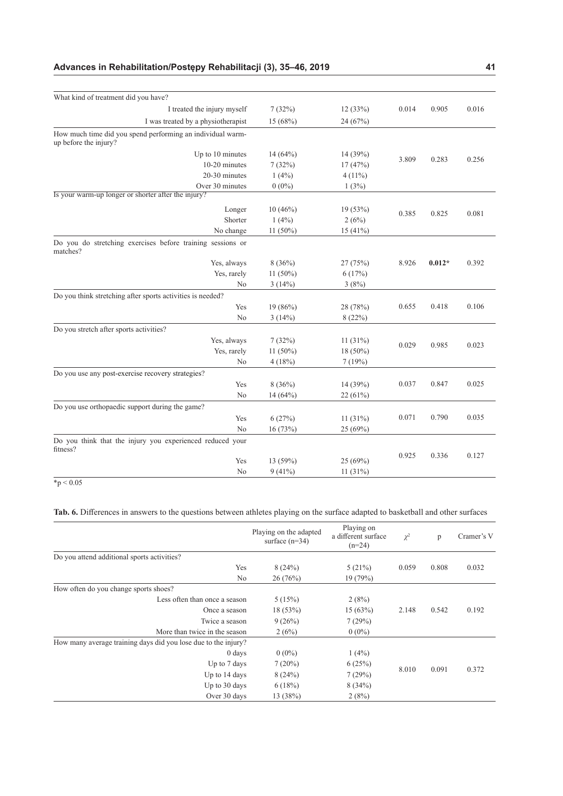# **Advances in Rehabilitation/Postępy Rehabilitacji (3), 35–46, 2019 41**

| What kind of treatment did you have?                                                |             |           |       |          |       |
|-------------------------------------------------------------------------------------|-------------|-----------|-------|----------|-------|
| I treated the injury myself                                                         | 7(32%)      | 12(33%)   | 0.014 | 0.905    | 0.016 |
| I was treated by a physiotherapist                                                  | 15(68%)     | 24 (67%)  |       |          |       |
| How much time did you spend performing an individual warm-<br>up before the injury? |             |           |       |          |       |
| Up to 10 minutes                                                                    | 14(64%)     | 14 (39%)  |       |          |       |
| 10-20 minutes                                                                       | 7(32%)      | 17(47%)   | 3.809 | 0.283    | 0.256 |
| 20-30 minutes                                                                       | 1(4%)       | $4(11\%)$ |       |          |       |
| Over 30 minutes                                                                     | $0(0\%)$    | 1(3%)     |       |          |       |
| Is your warm-up longer or shorter after the injury?                                 |             |           |       |          |       |
| Longer                                                                              | 10(46%)     | 19(53%)   | 0.385 | 0.825    | 0.081 |
| Shorter                                                                             | 1(4%)       | 2(6%)     |       |          |       |
| No change                                                                           | $11(50\%)$  | 15(41%)   |       |          |       |
| Do you do stretching exercises before training sessions or<br>matches?              |             |           |       |          |       |
| Yes, always                                                                         | 8(36%)      | 27 (75%)  | 8.926 | $0.012*$ | 0.392 |
| Yes, rarely                                                                         | 11 (50%)    | 6(17%)    |       |          |       |
| No                                                                                  | 3(14%)      | 3(8%)     |       |          |       |
| Do you think stretching after sports activities is needed?                          |             |           |       |          |       |
| Yes                                                                                 | 19 (86%)    | 28 (78%)  | 0.655 | 0.418    | 0.106 |
| No                                                                                  | 3(14%)      | 8 (22%)   |       |          |       |
| Do you stretch after sports activities?                                             |             |           |       |          |       |
| Yes, always                                                                         | 7(32%)      | 11(31%)   | 0.029 | 0.985    | 0.023 |
| Yes, rarely                                                                         | 11 $(50\%)$ | 18 (50%)  |       |          |       |
| No                                                                                  | 4(18%)      | 7(19%)    |       |          |       |
| Do you use any post-exercise recovery strategies?                                   |             |           |       |          |       |
| Yes                                                                                 | 8(36%)      | 14 (39%)  | 0.037 | 0.847    | 0.025 |
| No                                                                                  | 14(64%)     | 22(61%)   |       |          |       |
| Do you use orthopaedic support during the game?                                     |             |           |       |          |       |
| Yes                                                                                 | 6(27%)      | 11(31%)   | 0.071 | 0.790    | 0.035 |
| N <sub>o</sub>                                                                      | 16(73%)     | 25 (69%)  |       |          |       |
| Do you think that the injury you experienced reduced your<br>fitness?               |             |           |       |          |       |
| Yes                                                                                 | 13 (59%)    | 25 (69%)  | 0.925 | 0.336    | 0.127 |
| No                                                                                  | 9(41%)      | 11(31%)   |       |          |       |
|                                                                                     |             |           |       |          |       |

 $\frac{1}{2}$  + p < 0.05

# **Tab. 6.** Differences in answers to the questions between athletes playing on the surface adapted to basketball and other surfaces

|                                                                | Playing on the adapted<br>surface $(n=34)$ | Playing on<br>a different surface<br>$(n=24)$ | $\chi^2$       | p     | Cramer's V |
|----------------------------------------------------------------|--------------------------------------------|-----------------------------------------------|----------------|-------|------------|
| Do you attend additional sports activities?                    |                                            |                                               |                |       |            |
| Yes                                                            | 8(24%)                                     | 5(21%)                                        | 0.059          | 0.808 | 0.032      |
| N <sub>o</sub>                                                 | 26 (76%)                                   | 19(79%)                                       |                |       |            |
| How often do you change sports shoes?                          |                                            |                                               |                |       |            |
| Less often than once a season                                  | 5(15%)                                     | 2(8%)                                         |                |       |            |
| Once a season                                                  | 18 (53%)                                   | 15(63%)                                       | 2.148          | 0.542 | 0.192      |
| Twice a season                                                 | 9(26%)                                     | 7(29%)                                        |                |       |            |
| More than twice in the season                                  | 2(6%)                                      | $0(0\%)$                                      |                |       |            |
| How many average training days did you lose due to the injury? |                                            |                                               |                |       |            |
| $0 \, \text{days}$                                             | $0(0\%)$                                   | 1(4%)                                         |                |       |            |
| Up to 7 days                                                   | 7(20%)                                     | 6(25%)                                        |                |       |            |
| Up to 14 days                                                  | 8(24%)                                     | 7(29%)                                        | 8.010<br>0.091 |       | 0.372      |
| Up to 30 days                                                  | 6(18%)                                     | 8(34%)                                        |                |       |            |
| Over 30 days                                                   | 13 (38%)                                   | 2(8%)                                         |                |       |            |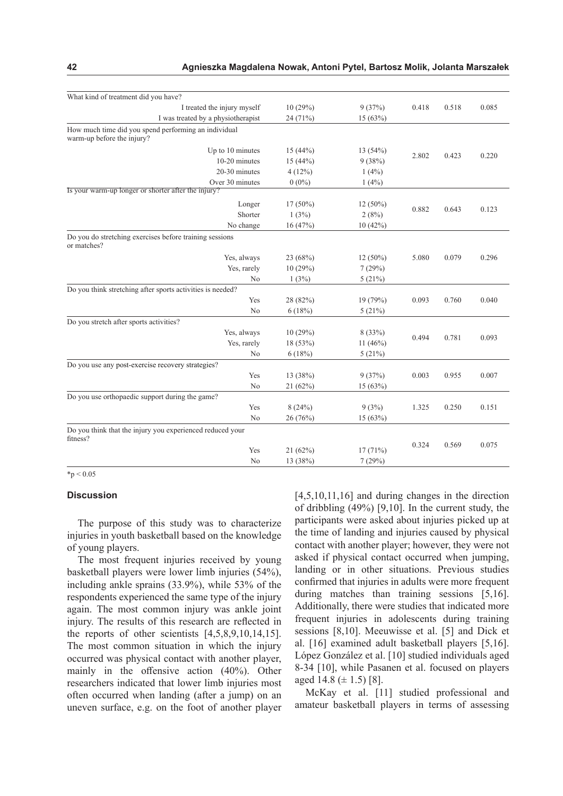| What kind of treatment did you have?                                               |            |            |       |       |       |
|------------------------------------------------------------------------------------|------------|------------|-------|-------|-------|
| I treated the injury myself                                                        | 10(29%)    | 9(37%)     | 0.418 | 0.518 | 0.085 |
| I was treated by a physiotherapist                                                 | 24 (71%)   | 15(63%)    |       |       |       |
| How much time did you spend performing an individual<br>warm-up before the injury? |            |            |       |       |       |
| Up to 10 minutes                                                                   | 15(44%)    | 13(54%)    |       |       |       |
| 10-20 minutes                                                                      | 15(44%)    | 9(38%)     | 2.802 | 0.423 | 0.220 |
| 20-30 minutes                                                                      | 4(12%)     | 1(4%)      |       |       |       |
| Over 30 minutes                                                                    | $0(0\%)$   | 1(4%)      |       |       |       |
| Is your warm-up longer or shorter after the injury?                                |            |            |       |       |       |
| Longer                                                                             | $17(50\%)$ | $12(50\%)$ |       |       |       |
| Shorter                                                                            | 1(3%)      | 2(8%)      | 0.882 | 0.643 | 0.123 |
| No change                                                                          | 16(47%)    | 10(42%)    |       |       |       |
| Do you do stretching exercises before training sessions<br>or matches?             |            |            |       |       |       |
| Yes, always                                                                        | 23 (68%)   | $12(50\%)$ | 5.080 | 0.079 | 0.296 |
| Yes, rarely                                                                        | 10(29%)    | 7(29%)     |       |       |       |
| No                                                                                 | 1(3%)      | 5(21%)     |       |       |       |
| Do you think stretching after sports activities is needed?                         |            |            |       |       |       |
| Yes                                                                                | 28 (82%)   | 19 (79%)   | 0.093 | 0.760 | 0.040 |
| No                                                                                 | 6(18%)     | 5(21%)     |       |       |       |
| Do you stretch after sports activities?                                            |            |            |       |       |       |
| Yes, always                                                                        | 10(29%)    | 8(33%)     | 0.494 | 0.781 |       |
| Yes, rarely                                                                        | 18 (53%)   | 11 $(46%)$ |       |       | 0.093 |
| No                                                                                 | 6(18%)     | 5(21%)     |       |       |       |
| Do you use any post-exercise recovery strategies?                                  |            |            |       |       |       |
| Yes                                                                                | 13 (38%)   | 9(37%)     | 0.003 | 0.955 | 0.007 |
| No                                                                                 | 21 (62%)   | 15 (63%)   |       |       |       |
| Do you use orthopaedic support during the game?                                    |            |            |       |       |       |
| Yes                                                                                | 8(24%)     | 9(3%)      | 1.325 | 0.250 | 0.151 |
| No                                                                                 | 26 (76%)   | 15(63%)    |       |       |       |
| Do you think that the injury you experienced reduced your<br>fitness?              |            |            |       |       |       |
| Yes                                                                                | 21(62%)    | 17(71%)    | 0.324 | 0.569 | 0.075 |
| No                                                                                 | 13 (38%)   | 7(29%)     |       |       |       |

 $*_{p} < 0.05$ 

#### **Discussion**

The purpose of this study was to characterize injuries in youth basketball based on the knowledge of young players.

The most frequent injuries received by young basketball players were lower limb injuries (54%), including ankle sprains (33.9%), while 53% of the respondents experienced the same type of the injury again. The most common injury was ankle joint injury. The results of this research are reflected in the reports of other scientists  $[4,5,8,9,10,14,15]$ . The most common situation in which the injury occurred was physical contact with another player, mainly in the offensive action (40%). Other researchers indicated that lower limb injuries most often occurred when landing (after a jump) on an uneven surface, e.g. on the foot of another player [4,5,10,11,16] and during changes in the direction of dribbling (49%) [9,10]. In the current study, the participants were asked about injuries picked up at the time of landing and injuries caused by physical contact with another player; however, they were not asked if physical contact occurred when jumping, landing or in other situations. Previous studies confirmed that injuries in adults were more frequent during matches than training sessions [5,16]. Additionally, there were studies that indicated more frequent injuries in adolescents during training sessions [8,10]. Meeuwisse et al. [5] and Dick et al. [16] examined adult basketball players [5,16]. López González et al. [10] studied individuals aged 8-34 [10], while Pasanen et al. focused on players aged 14.8 ( $\pm$  1.5) [8].

McKay et al. [11] studied professional and amateur basketball players in terms of assessing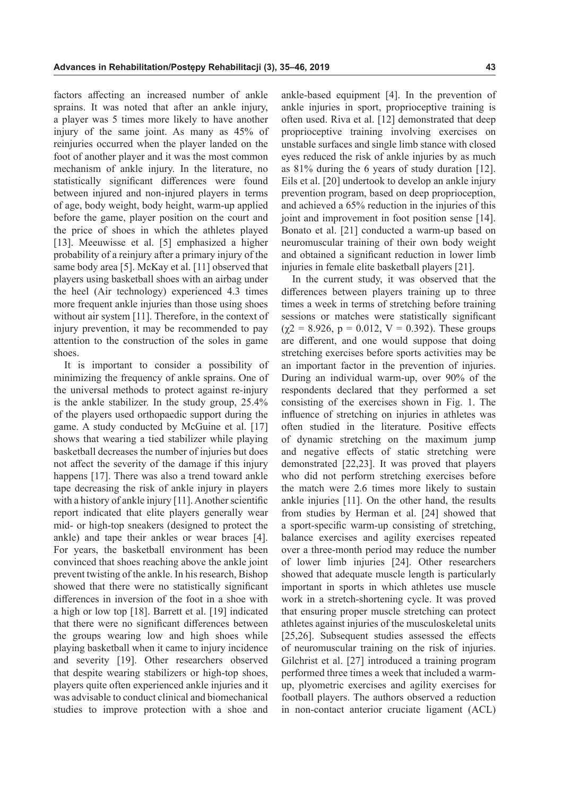factors affecting an increased number of ankle sprains. It was noted that after an ankle injury, a player was 5 times more likely to have another injury of the same joint. As many as 45% of reinjuries occurred when the player landed on the foot of another player and it was the most common mechanism of ankle injury. In the literature, no statistically significant differences were found between injured and non-injured players in terms of age, body weight, body height, warm-up applied before the game, player position on the court and the price of shoes in which the athletes played [13]. Meeuwisse et al. [5] emphasized a higher probability of a reinjury after a primary injury of the same body area [5]. McKay et al. [11] observed that players using basketball shoes with an airbag under the heel (Air technology) experienced 4.3 times more frequent ankle injuries than those using shoes without air system [11]. Therefore, in the context of injury prevention, it may be recommended to pay attention to the construction of the soles in game shoes.

It is important to consider a possibility of minimizing the frequency of ankle sprains. One of the universal methods to protect against re-injury is the ankle stabilizer. In the study group, 25.4% of the players used orthopaedic support during the game. A study conducted by McGuine et al. [17] shows that wearing a tied stabilizer while playing basketball decreases the number of injuries but does not affect the severity of the damage if this injury happens [17]. There was also a trend toward ankle tape decreasing the risk of ankle injury in players with a history of ankle injury [11]. Another scientific report indicated that elite players generally wear mid- or high-top sneakers (designed to protect the ankle) and tape their ankles or wear braces [4]. For years, the basketball environment has been convinced that shoes reaching above the ankle joint prevent twisting of the ankle. In his research, Bishop showed that there were no statistically significant differences in inversion of the foot in a shoe with a high or low top [18]. Barrett et al. [19] indicated that there were no significant differences between the groups wearing low and high shoes while playing basketball when it came to injury incidence and severity [19]. Other researchers observed that despite wearing stabilizers or high-top shoes, players quite often experienced ankle injuries and it was advisable to conduct clinical and biomechanical studies to improve protection with a shoe and

ankle-based equipment [4]. In the prevention of ankle injuries in sport, proprioceptive training is often used. Riva et al. [12] demonstrated that deep proprioceptive training involving exercises on unstable surfaces and single limb stance with closed eyes reduced the risk of ankle injuries by as much as 81% during the 6 years of study duration [12]. Eils et al. [20] undertook to develop an ankle injury prevention program, based on deep proprioception, and achieved a 65% reduction in the injuries of this joint and improvement in foot position sense [14]. Bonato et al. [21] conducted a warm-up based on neuromuscular training of their own body weight and obtained a significant reduction in lower limb injuries in female elite basketball players [21].

In the current study, it was observed that the differences between players training up to three times a week in terms of stretching before training sessions or matches were statistically significant  $(\gamma 2 = 8.926, p = 0.012, V = 0.392)$ . These groups are different, and one would suppose that doing stretching exercises before sports activities may be an important factor in the prevention of injuries. During an individual warm-up, over 90% of the respondents declared that they performed a set consisting of the exercises shown in Fig. 1. The influence of stretching on injuries in athletes was often studied in the literature. Positive effects of dynamic stretching on the maximum jump and negative effects of static stretching were demonstrated [22,23]. It was proved that players who did not perform stretching exercises before the match were 2.6 times more likely to sustain ankle injuries [11]. On the other hand, the results from studies by Herman et al. [24] showed that a sport-specific warm-up consisting of stretching, balance exercises and agility exercises repeated over a three-month period may reduce the number of lower limb injuries [24]. Other researchers showed that adequate muscle length is particularly important in sports in which athletes use muscle work in a stretch-shortening cycle. It was proved that ensuring proper muscle stretching can protect athletes against injuries of the musculoskeletal units [25,26]. Subsequent studies assessed the effects of neuromuscular training on the risk of injuries. Gilchrist et al. [27] introduced a training program performed three times a week that included a warmup, plyometric exercises and agility exercises for football players. The authors observed a reduction in non-contact anterior cruciate ligament (ACL)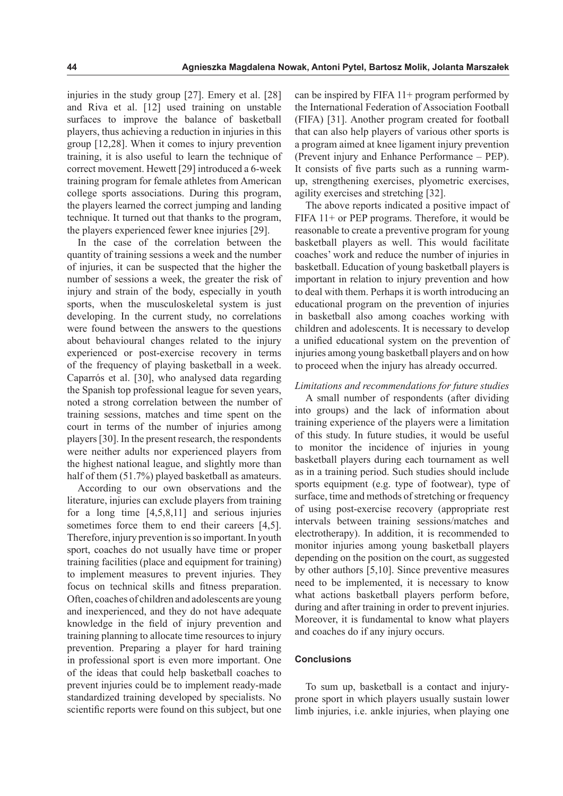injuries in the study group [27]. Emery et al. [28] and Riva et al. [12] used training on unstable surfaces to improve the balance of basketball players, thus achieving a reduction in injuries in this group [12,28]. When it comes to injury prevention training, it is also useful to learn the technique of correct movement. Hewett [29] introduced a 6-week training program for female athletes from American college sports associations. During this program, the players learned the correct jumping and landing technique. It turned out that thanks to the program, the players experienced fewer knee injuries [29].

In the case of the correlation between the quantity of training sessions a week and the number of injuries, it can be suspected that the higher the number of sessions a week, the greater the risk of injury and strain of the body, especially in youth sports, when the musculoskeletal system is just developing. In the current study, no correlations were found between the answers to the questions about behavioural changes related to the injury experienced or post-exercise recovery in terms of the frequency of playing basketball in a week. Caparrós et al. [30], who analysed data regarding the Spanish top professional league for seven years, noted a strong correlation between the number of training sessions, matches and time spent on the court in terms of the number of injuries among players [30]. In the present research, the respondents were neither adults nor experienced players from the highest national league, and slightly more than half of them (51.7%) played basketball as amateurs.

According to our own observations and the literature, injuries can exclude players from training for a long time [4,5,8,11] and serious injuries sometimes force them to end their careers [4,5]. Therefore, injury prevention is so important. In youth sport, coaches do not usually have time or proper training facilities (place and equipment for training) to implement measures to prevent injuries. They focus on technical skills and fitness preparation. Often, coaches of children and adolescents are young and inexperienced, and they do not have adequate knowledge in the field of injury prevention and training planning to allocate time resources to injury prevention. Preparing a player for hard training in professional sport is even more important. One of the ideas that could help basketball coaches to prevent injuries could be to implement ready-made standardized training developed by specialists. No scientific reports were found on this subject, but one

can be inspired by FIFA  $11+$  program performed by the International Federation of Association Football (FIFA) [31]. Another program created for football that can also help players of various other sports is a program aimed at knee ligament injury prevention (Prevent injury and Enhance Performance – PEP). It consists of five parts such as a running warmup, strengthening exercises, plyometric exercises, agility exercises and stretching [32].

The above reports indicated a positive impact of FIFA 11+ or PEP programs. Therefore, it would be reasonable to create a preventive program for young basketball players as well. This would facilitate coaches' work and reduce the number of injuries in basketball. Education of young basketball players is important in relation to injury prevention and how to deal with them. Perhaps it is worth introducing an educational program on the prevention of injuries in basketball also among coaches working with children and adolescents. It is necessary to develop a unified educational system on the prevention of injuries among young basketball players and on how to proceed when the injury has already occurred.

### *Limitations and recommendations for future studies*

A small number of respondents (after dividing into groups) and the lack of information about training experience of the players were a limitation of this study. In future studies, it would be useful to monitor the incidence of injuries in young basketball players during each tournament as well as in a training period. Such studies should include sports equipment (e.g. type of footwear), type of surface, time and methods of stretching or frequency of using post-exercise recovery (appropriate rest intervals between training sessions/matches and electrotherapy). In addition, it is recommended to monitor injuries among young basketball players depending on the position on the court, as suggested by other authors [5,10]. Since preventive measures need to be implemented, it is necessary to know what actions basketball players perform before, during and after training in order to prevent injuries. Moreover, it is fundamental to know what players and coaches do if any injury occurs.

# **Conclusions**

To sum up, basketball is a contact and injuryprone sport in which players usually sustain lower limb injuries, i.e. ankle injuries, when playing one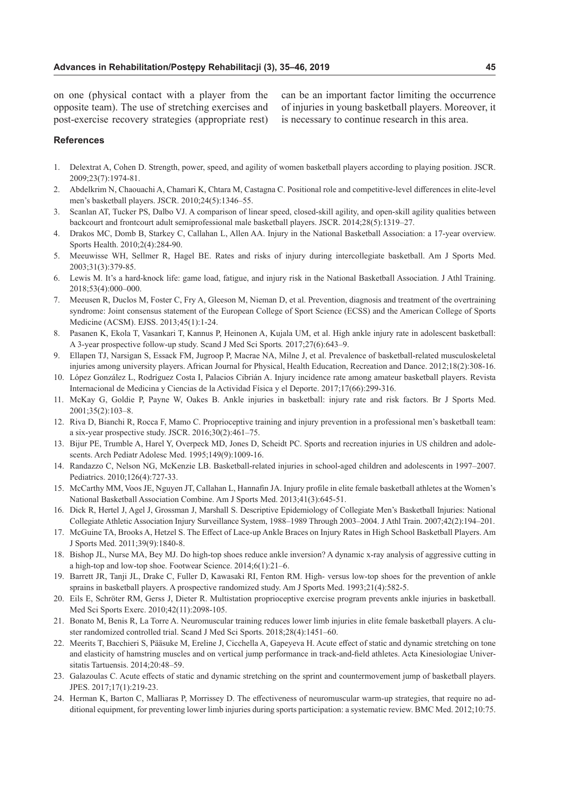on one (physical contact with a player from the opposite team). The use of stretching exercises and post-exercise recovery strategies (appropriate rest)

can be an important factor limiting the occurrence of injuries in young basketball players. Moreover, it is necessary to continue research in this area.

### **References**

- 1. Delextrat A, Cohen D. Strength, power, speed, and agility of women basketball players according to playing position. JSCR. 2009;23(7):1974-81.
- 2. Abdelkrim N, Chaouachi A, Chamari K, Chtara M, Castagna C. Positional role and competitive-level differences in elite-level men's basketball players. JSCR. 2010;24(5):1346–55.
- 3. Scanlan AT, Tucker PS, Dalbo VJ. A comparison of linear speed, closed-skill agility, and open-skill agility qualities between backcourt and frontcourt adult semiprofessional male basketball players. JSCR. 2014;28(5):1319–27.
- 4. Drakos MC, Domb B, Starkey C, Callahan L, Allen AA. Injury in the National Basketball Association: a 17-year overview. Sports Health. 2010;2(4):284-90.
- 5. Meeuwisse WH, Sellmer R, Hagel BE. Rates and risks of injury during intercollegiate basketball. Am J Sports Med. 2003;31(3):379-85.
- 6. Lewis M. It's a hard-knock life: game load, fatigue, and injury risk in the National Basketball Association. J Athl Training. 2018;53(4):000–000.
- 7. Meeusen R, Duclos M, Foster C, Fry A, Gleeson M, Nieman D, et al. Prevention, diagnosis and treatment of the overtraining syndrome: Joint consensus statement of the European College of Sport Science (ECSS) and the American College of Sports Medicine (ACSM). EJSS. 2013;45(1):1-24.
- 8. Pasanen K, Ekola T, Vasankari T, Kannus P, Heinonen A, Kujala UM, et al. High ankle injury rate in adolescent basketball: A 3-year prospective follow-up study. Scand J Med Sci Sports*.* 2017;27(6):643–9.
- 9. Ellapen TJ, Narsigan S, Essack FM, Jugroop P, Macrae NA, Milne J, et al. Prevalence of basketball-related musculoskeletal injuries among university players. African Journal for Physical, Health Education, Recreation and Dance. 2012;18(2):308-16.
- 10. López González L, Rodríguez Costa I, Palacios Cibrián A. Injury incidence rate among amateur basketball players. Revista Internacional de Medicina y Ciencias de la Actividad Física y el Deporte. 2017;17(66):299-316.
- 11. McKay G, Goldie P, Payne W, Oakes B. Ankle injuries in basketball: injury rate and risk factors. Br J Sports Med. 2001;35(2):103–8.
- 12. Riva D, Bianchi R, Rocca F, Mamo C. Proprioceptive training and injury prevention in a professional men's basketball team: a six-year prospective study. JSCR. 2016;30(2):461–75.
- 13. Bijur PE, Trumble A, Harel Y, Overpeck MD, Jones D, Scheidt PC. Sports and recreation injuries in US children and adolescents. Arch Pediatr Adolesc Med. 1995;149(9):1009-16.
- 14. Randazzo C, Nelson NG, McKenzie LB. Basketball-related injuries in school-aged children and adolescents in 1997–2007. Pediatrics. 2010;126(4):727-33.
- 15. McCarthy MM, Voos JE, Nguyen JT, Callahan L, Hannafin JA. Injury profile in elite female basketball athletes at the Women's National Basketball Association Combine. Am J Sports Med. 2013;41(3):645-51.
- 16. Dick R, Hertel J, Agel J, Grossman J, Marshall S. Descriptive Epidemiology of Collegiate Men's Basketball Injuries: National Collegiate Athletic Association Injury Surveillance System, 1988–1989 Through 2003–2004. J Athl Train. 2007;42(2):194–201.
- 17. McGuine TA, Brooks A, Hetzel S. The Effect of Lace-up Ankle Braces on Injury Rates in High School Basketball Players. Am J Sports Med. 2011;39(9):1840-8.
- 18. Bishop JL, Nurse MA, Bey MJ. Do high-top shoes reduce ankle inversion? A dynamic x-ray analysis of aggressive cutting in a high-top and low-top shoe. Footwear Science. 2014;6(1):21–6.
- 19. Barrett JR, Tanji JL, Drake C, Fuller D, Kawasaki RI, Fenton RM. High- versus low-top shoes for the prevention of ankle sprains in basketball players. A prospective randomized study. Am J Sports Med. 1993;21(4):582-5.
- 20. Eils E, Schröter RM, Gerss J, Dieter R. Multistation proprioceptive exercise program prevents ankle injuries in basketball. Med Sci Sports Exerc. 2010;42(11):2098-105.
- 21. Bonato M, Benis R, La Torre A. Neuromuscular training reduces lower limb injuries in elite female basketball players. A cluster randomized controlled trial. Scand J Med Sci Sports. 2018;28(4):1451–60.
- 22. Meerits T, Bacchieri S, Pääsuke M, Ereline J, Cicchella A, Gapeyeva H. Acute effect of static and dynamic stretching on tone and elasticity of hamstring muscles and on vertical jump performance in track-and-field athletes. Acta Kinesiologiae Universitatis Tartuensis. 2014;20:48–59.
- 23. Galazoulas C. Acute effects of static and dynamic stretching on the sprint and countermovement jump of basketball players. JPES. 2017;17(1):219-23.
- 24. Herman K, Barton C, Malliaras P, Morrissey D. The effectiveness of neuromuscular warm-up strategies, that require no additional equipment, for preventing lower limb injuries during sports participation: a systematic review. BMC Med. 2012;10:75.